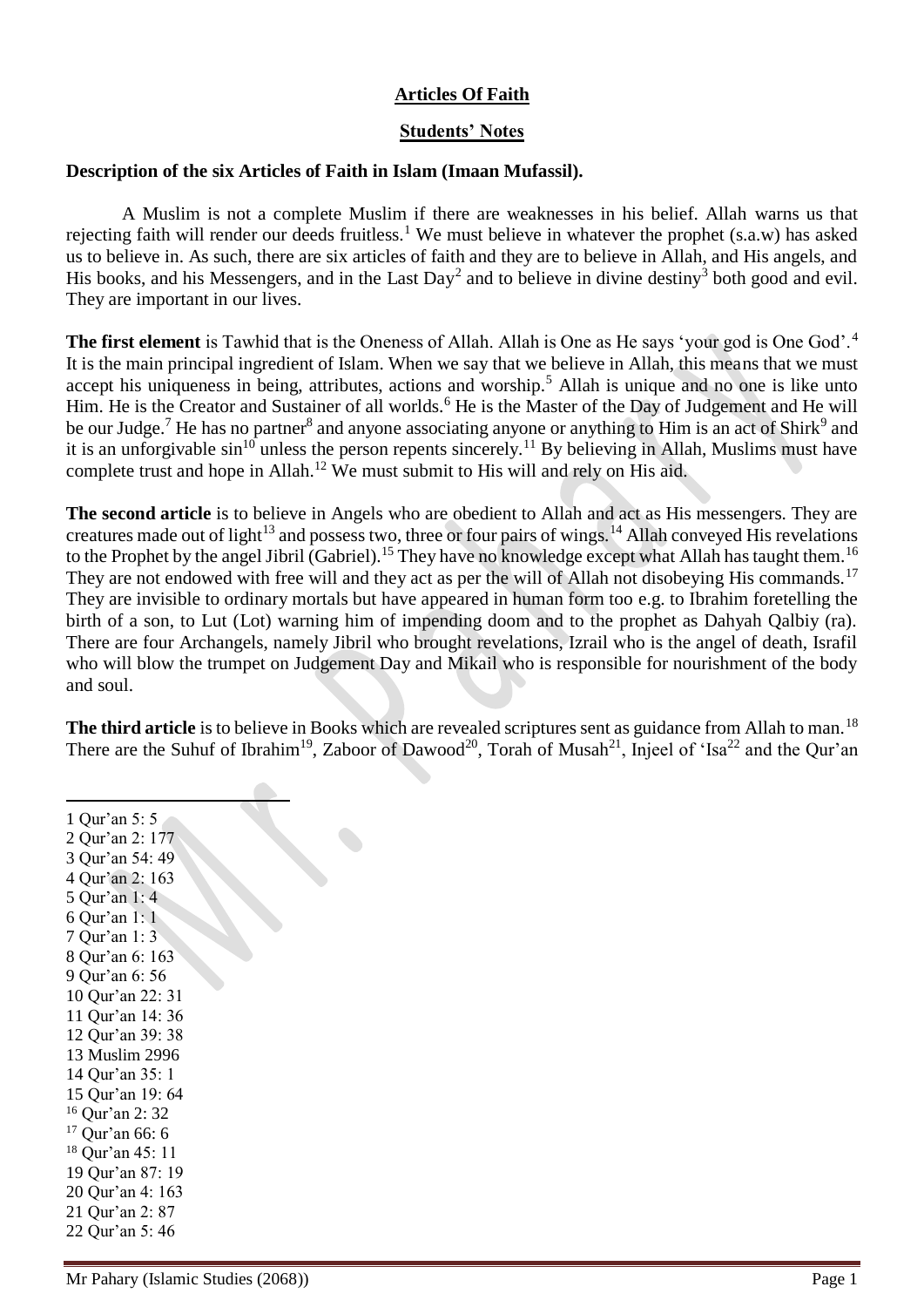## **Articles Of Faith**

## **Students' Notes**

## **Description of the six Articles of Faith in Islam (Imaan Mufassil).**

A Muslim is not a complete Muslim if there are weaknesses in his belief. Allah warns us that rejecting faith will render our deeds fruitless.<sup>1</sup> We must believe in whatever the prophet (s.a.w) has asked us to believe in. As such, there are six articles of faith and they are to believe in Allah, and His angels, and His books, and his Messengers, and in the Last Day<sup>2</sup> and to believe in divine destiny<sup>3</sup> both good and evil. They are important in our lives.

**The first element** is Tawhid that is the Oneness of Allah. Allah is One as He says 'your god is One God'.<sup>4</sup> It is the main principal ingredient of Islam. When we say that we believe in Allah, this means that we must accept his uniqueness in being, attributes, actions and worship.<sup>5</sup> Allah is unique and no one is like unto Him. He is the Creator and Sustainer of all worlds.<sup>6</sup> He is the Master of the Day of Judgement and He will be our Judge.<sup>7</sup> He has no partner<sup>8</sup> and anyone associating anyone or anything to Him is an act of Shirk<sup>9</sup> and it is an unforgivable  $sin^{10}$  unless the person repents sincerely.<sup>11</sup> By believing in Allah, Muslims must have complete trust and hope in Allah.<sup>12</sup> We must submit to His will and rely on His aid.

**The second article** is to believe in Angels who are obedient to Allah and act as His messengers. They are creatures made out of light<sup>13</sup> and possess two, three or four pairs of wings.<sup>14</sup> Allah conveyed His revelations to the Prophet by the angel Jibril (Gabriel).<sup>15</sup> They have no knowledge except what Allah has taught them.<sup>16</sup> They are not endowed with free will and they act as per the will of Allah not disobeying His commands.<sup>17</sup> They are invisible to ordinary mortals but have appeared in human form too e.g. to Ibrahim foretelling the birth of a son, to Lut (Lot) warning him of impending doom and to the prophet as Dahyah Qalbiy (ra). There are four Archangels, namely Jibril who brought revelations, Izrail who is the angel of death, Israfil who will blow the trumpet on Judgement Day and Mikail who is responsible for nourishment of the body and soul.

**The third article** is to believe in Books which are revealed scriptures sent as guidance from Allah to man.<sup>18</sup> There are the Suhuf of Ibrahim<sup>19</sup>, Zaboor of Dawood<sup>20</sup>, Torah of Musah<sup>21</sup>, Injeel of 'Isa<sup>22</sup> and the Qur'an

 Qur'an 5: 5 Qur'an 2: 177 Qur'an 54: 49 Qur'an 2: 163 Qur'an 1: 4 Qur'an 1: 1 Qur'an 1: 3 Qur'an 6: 163 Qur'an 6: 56 Qur'an 22: 31 Qur'an 14: 36 Qur'an 39: 38 Muslim 2996 Qur'an 35: 1 Qur'an 19: 64 Qur'an 2: 32 Qur'an 66: 6 Qur'an 45: 11 Qur'an 87: 19 Qur'an 4: 163 Qur'an 2: 87 Qur'an 5: 46

 $\overline{a}$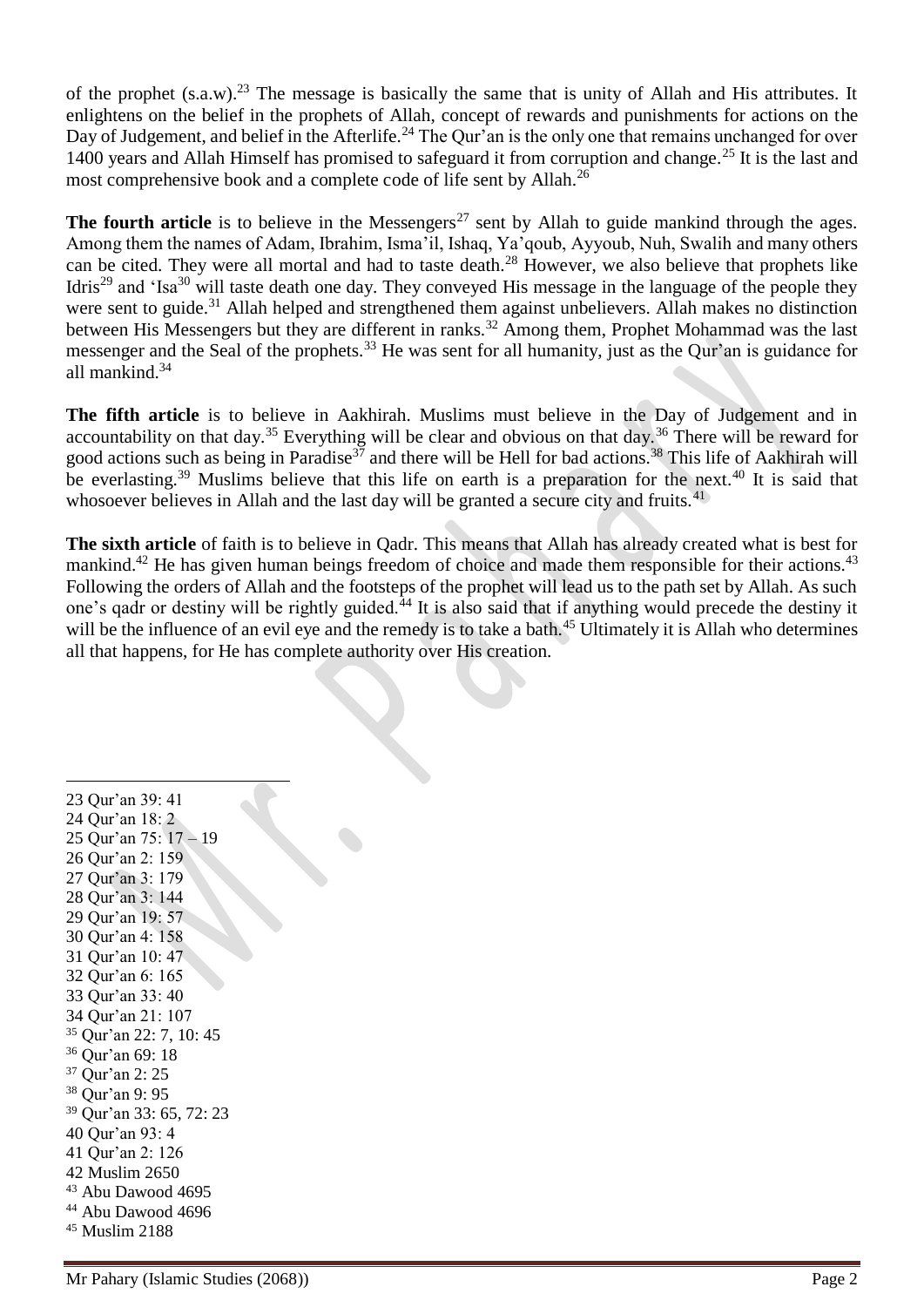of the prophet  $(s.a.w)^{23}$ . The message is basically the same that is unity of Allah and His attributes. It enlightens on the belief in the prophets of Allah, concept of rewards and punishments for actions on the Day of Judgement, and belief in the Afterlife.<sup>24</sup> The Qur'an is the only one that remains unchanged for over 1400 years and Allah Himself has promised to safeguard it from corruption and change.<sup>25</sup> It is the last and most comprehensive book and a complete code of life sent by Allah.<sup>26</sup>

**The fourth article** is to believe in the Messengers<sup>27</sup> sent by Allah to guide mankind through the ages. Among them the names of Adam, Ibrahim, Isma'il, Ishaq, Ya'qoub, Ayyoub, Nuh, Swalih and many others can be cited. They were all mortal and had to taste death.<sup>28</sup> However, we also believe that prophets like Idris<sup>29</sup> and 'Isa<sup>30</sup> will taste death one day. They conveyed His message in the language of the people they were sent to guide.<sup>31</sup> Allah helped and strengthened them against unbelievers. Allah makes no distinction between His Messengers but they are different in ranks.<sup>32</sup> Among them, Prophet Mohammad was the last messenger and the Seal of the prophets.<sup>33</sup> He was sent for all humanity, just as the Our'an is guidance for all mankind.<sup>34</sup>

**The fifth article** is to believe in Aakhirah. Muslims must believe in the Day of Judgement and in accountability on that day.<sup>35</sup> Everything will be clear and obvious on that day.<sup>36</sup> There will be reward for good actions such as being in Paradise<sup>37</sup> and there will be Hell for bad actions.<sup>38</sup> This life of Aakhirah will be everlasting.<sup>39</sup> Muslims believe that this life on earth is a preparation for the next.<sup>40</sup> It is said that whosoever believes in Allah and the last day will be granted a secure city and fruits.<sup>41</sup>

**The sixth article** of faith is to believe in Qadr. This means that Allah has already created what is best for mankind.<sup>42</sup> He has given human beings freedom of choice and made them responsible for their actions.<sup>43</sup> Following the orders of Allah and the footsteps of the prophet will lead us to the path set by Allah. As such one's gadr or destiny will be rightly guided.<sup>44</sup> It is also said that if anything would precede the destiny it will be the influence of an evil eye and the remedy is to take a bath.<sup>45</sup> Ultimately it is Allah who determines all that happens, for He has complete authority over His creation.

 Qur'an 39: 41 Qur'an 18: 2 Qur'an 75: 17 – 19 Qur'an 2: 159 Qur'an 3: 179 Qur'an 3: 144 Qur'an 19: 57 Qur'an 4: 158 Qur'an 10: 47 Qur'an 6: 165 Qur'an 33: 40 Qur'an 21: 107 Qur'an 22: 7, 10: 45 Qur'an 69: 18 Qur'an 2: 25 Qur'an 9: 95 Qur'an 33: 65, 72: 23 Qur'an 93: 4 Qur'an 2: 126 Muslim 2650 Abu Dawood 4695 Abu Dawood 4696 Muslim 2188

 $\overline{a}$